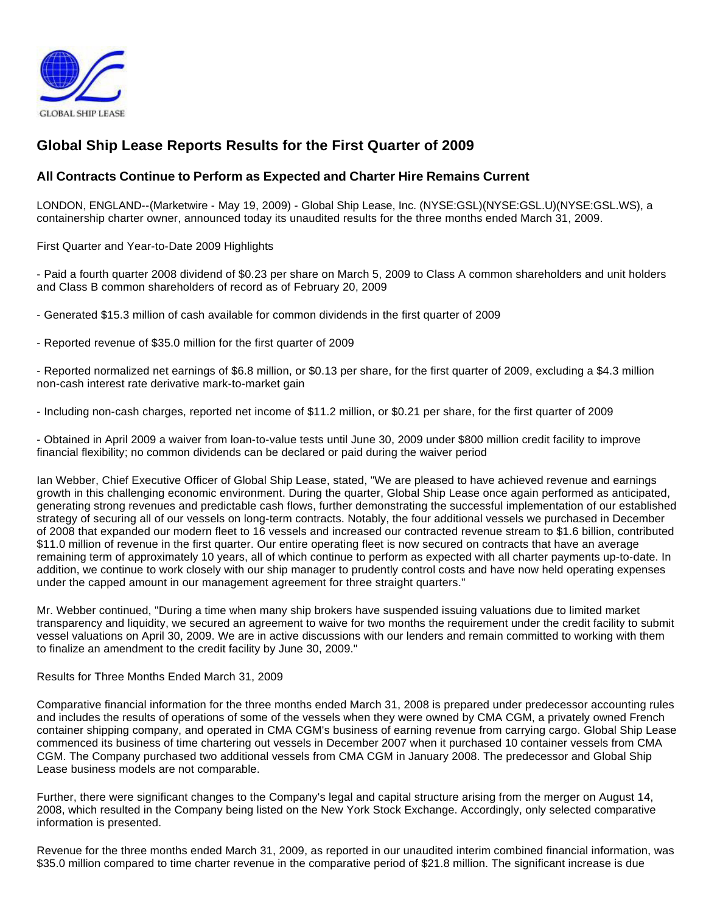

# **Global Ship Lease Reports Results for the First Quarter of 2009**

## **All Contracts Continue to Perform as Expected and Charter Hire Remains Current**

LONDON, ENGLAND--(Marketwire - May 19, 2009) - Global Ship Lease, Inc. (NYSE:GSL)(NYSE:GSL.U)(NYSE:GSL.WS), a containership charter owner, announced today its unaudited results for the three months ended March 31, 2009.

First Quarter and Year-to-Date 2009 Highlights

- Paid a fourth quarter 2008 dividend of \$0.23 per share on March 5, 2009 to Class A common shareholders and unit holders and Class B common shareholders of record as of February 20, 2009

- Generated \$15.3 million of cash available for common dividends in the first quarter of 2009

- Reported revenue of \$35.0 million for the first quarter of 2009

- Reported normalized net earnings of \$6.8 million, or \$0.13 per share, for the first quarter of 2009, excluding a \$4.3 million non-cash interest rate derivative mark-to-market gain

- Including non-cash charges, reported net income of \$11.2 million, or \$0.21 per share, for the first quarter of 2009

- Obtained in April 2009 a waiver from loan-to-value tests until June 30, 2009 under \$800 million credit facility to improve financial flexibility; no common dividends can be declared or paid during the waiver period

Ian Webber, Chief Executive Officer of Global Ship Lease, stated, "We are pleased to have achieved revenue and earnings growth in this challenging economic environment. During the quarter, Global Ship Lease once again performed as anticipated, generating strong revenues and predictable cash flows, further demonstrating the successful implementation of our established strategy of securing all of our vessels on long-term contracts. Notably, the four additional vessels we purchased in December of 2008 that expanded our modern fleet to 16 vessels and increased our contracted revenue stream to \$1.6 billion, contributed \$11.0 million of revenue in the first quarter. Our entire operating fleet is now secured on contracts that have an average remaining term of approximately 10 years, all of which continue to perform as expected with all charter payments up-to-date. In addition, we continue to work closely with our ship manager to prudently control costs and have now held operating expenses under the capped amount in our management agreement for three straight quarters."

Mr. Webber continued, "During a time when many ship brokers have suspended issuing valuations due to limited market transparency and liquidity, we secured an agreement to waive for two months the requirement under the credit facility to submit vessel valuations on April 30, 2009. We are in active discussions with our lenders and remain committed to working with them to finalize an amendment to the credit facility by June 30, 2009."

Results for Three Months Ended March 31, 2009

Comparative financial information for the three months ended March 31, 2008 is prepared under predecessor accounting rules and includes the results of operations of some of the vessels when they were owned by CMA CGM, a privately owned French container shipping company, and operated in CMA CGM's business of earning revenue from carrying cargo. Global Ship Lease commenced its business of time chartering out vessels in December 2007 when it purchased 10 container vessels from CMA CGM. The Company purchased two additional vessels from CMA CGM in January 2008. The predecessor and Global Ship Lease business models are not comparable.

Further, there were significant changes to the Company's legal and capital structure arising from the merger on August 14, 2008, which resulted in the Company being listed on the New York Stock Exchange. Accordingly, only selected comparative information is presented.

Revenue for the three months ended March 31, 2009, as reported in our unaudited interim combined financial information, was \$35.0 million compared to time charter revenue in the comparative period of \$21.8 million. The significant increase is due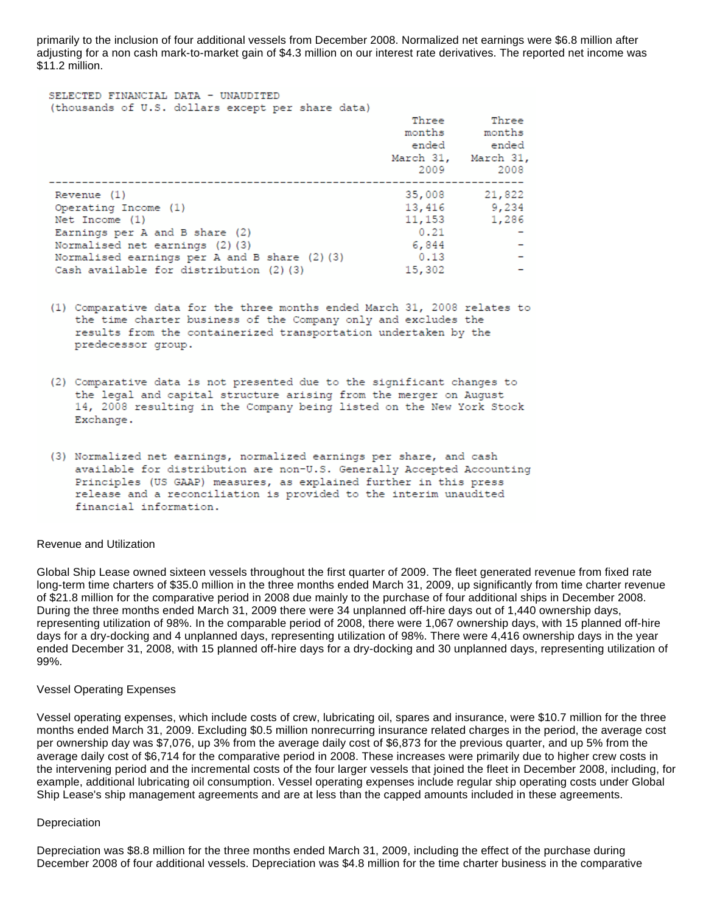primarily to the inclusion of four additional vessels from December 2008. Normalized net earnings were \$6.8 million after adjusting for a non cash mark-to-market gain of \$4.3 million on our interest rate derivatives. The reported net income was \$11.2 million.

| SELECTED FINANCIAL DATA - UNAUDITED<br>(thousands of U.S. dollars except per share data)                                                                                                                                           | Three<br>months<br>ended<br>March 31, March 31,<br>2009 | Three<br>months<br>ended<br>2008 |
|------------------------------------------------------------------------------------------------------------------------------------------------------------------------------------------------------------------------------------|---------------------------------------------------------|----------------------------------|
| Revenue (1)<br>Operating Income (1)<br>Net Income (1)<br>Earnings per $A$ and $B$ share $(2)$<br>Normalised net earnings (2)(3)<br>Normalised earnings per $A$ and $B$ share $(2)$ $(3)$<br>Cash available for distribution (2)(3) | 35,008<br>11,153<br>0.21<br>6.844<br>0.13<br>15,302     | 21,822<br>13,416 9,234<br>1,286  |

- (1) Comparative data for the three months ended March 31, 2008 relates to the time charter business of the Company only and excludes the results from the containerized transportation undertaken by the predecessor group.
- (2) Comparative data is not presented due to the significant changes to the legal and capital structure arising from the merger on August 14, 2008 resulting in the Company being listed on the New York Stock Exchange.
- (3) Normalized net earnings, normalized earnings per share, and cash available for distribution are non-U.S. Generally Accepted Accounting Principles (US GAAP) measures, as explained further in this press release and a reconciliation is provided to the interim unaudited financial information.

#### Revenue and Utilization

Global Ship Lease owned sixteen vessels throughout the first quarter of 2009. The fleet generated revenue from fixed rate long-term time charters of \$35.0 million in the three months ended March 31, 2009, up significantly from time charter revenue of \$21.8 million for the comparative period in 2008 due mainly to the purchase of four additional ships in December 2008. During the three months ended March 31, 2009 there were 34 unplanned off-hire days out of 1,440 ownership days, representing utilization of 98%. In the comparable period of 2008, there were 1,067 ownership days, with 15 planned off-hire days for a dry-docking and 4 unplanned days, representing utilization of 98%. There were 4,416 ownership days in the year ended December 31, 2008, with 15 planned off-hire days for a dry-docking and 30 unplanned days, representing utilization of 99%.

#### Vessel Operating Expenses

Vessel operating expenses, which include costs of crew, lubricating oil, spares and insurance, were \$10.7 million for the three months ended March 31, 2009. Excluding \$0.5 million nonrecurring insurance related charges in the period, the average cost per ownership day was \$7,076, up 3% from the average daily cost of \$6,873 for the previous quarter, and up 5% from the average daily cost of \$6,714 for the comparative period in 2008. These increases were primarily due to higher crew costs in the intervening period and the incremental costs of the four larger vessels that joined the fleet in December 2008, including, for example, additional lubricating oil consumption. Vessel operating expenses include regular ship operating costs under Global Ship Lease's ship management agreements and are at less than the capped amounts included in these agreements.

#### **Depreciation**

Depreciation was \$8.8 million for the three months ended March 31, 2009, including the effect of the purchase during December 2008 of four additional vessels. Depreciation was \$4.8 million for the time charter business in the comparative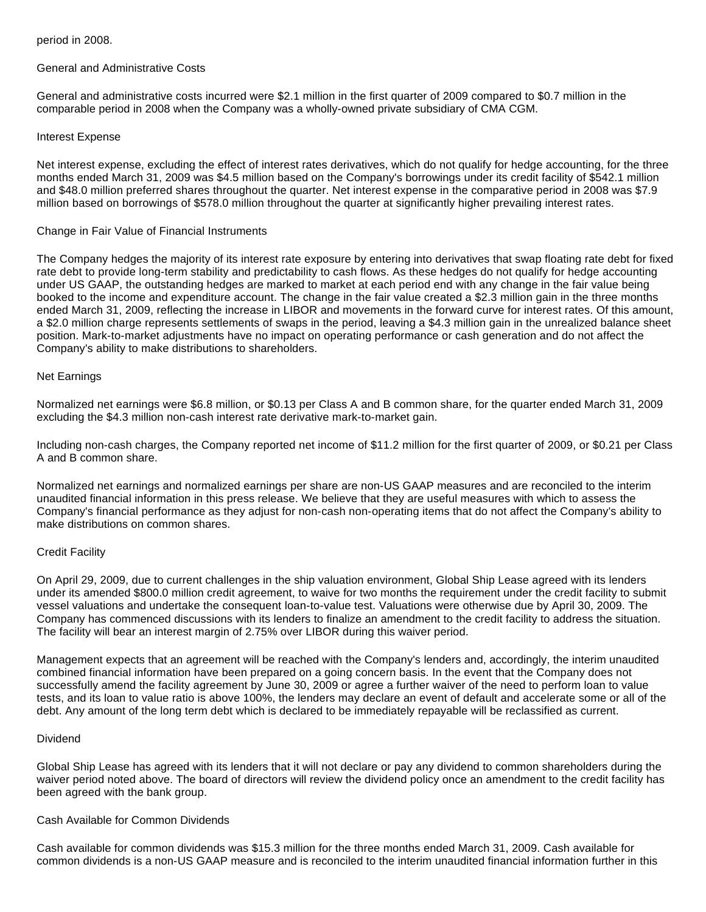### period in 2008.

### General and Administrative Costs

General and administrative costs incurred were \$2.1 million in the first quarter of 2009 compared to \$0.7 million in the comparable period in 2008 when the Company was a wholly-owned private subsidiary of CMA CGM.

### Interest Expense

Net interest expense, excluding the effect of interest rates derivatives, which do not qualify for hedge accounting, for the three months ended March 31, 2009 was \$4.5 million based on the Company's borrowings under its credit facility of \$542.1 million and \$48.0 million preferred shares throughout the quarter. Net interest expense in the comparative period in 2008 was \$7.9 million based on borrowings of \$578.0 million throughout the quarter at significantly higher prevailing interest rates.

### Change in Fair Value of Financial Instruments

The Company hedges the majority of its interest rate exposure by entering into derivatives that swap floating rate debt for fixed rate debt to provide long-term stability and predictability to cash flows. As these hedges do not qualify for hedge accounting under US GAAP, the outstanding hedges are marked to market at each period end with any change in the fair value being booked to the income and expenditure account. The change in the fair value created a \$2.3 million gain in the three months ended March 31, 2009, reflecting the increase in LIBOR and movements in the forward curve for interest rates. Of this amount, a \$2.0 million charge represents settlements of swaps in the period, leaving a \$4.3 million gain in the unrealized balance sheet position. Mark-to-market adjustments have no impact on operating performance or cash generation and do not affect the Company's ability to make distributions to shareholders.

### Net Earnings

Normalized net earnings were \$6.8 million, or \$0.13 per Class A and B common share, for the quarter ended March 31, 2009 excluding the \$4.3 million non-cash interest rate derivative mark-to-market gain.

Including non-cash charges, the Company reported net income of \$11.2 million for the first quarter of 2009, or \$0.21 per Class A and B common share.

Normalized net earnings and normalized earnings per share are non-US GAAP measures and are reconciled to the interim unaudited financial information in this press release. We believe that they are useful measures with which to assess the Company's financial performance as they adjust for non-cash non-operating items that do not affect the Company's ability to make distributions on common shares.

### Credit Facility

On April 29, 2009, due to current challenges in the ship valuation environment, Global Ship Lease agreed with its lenders under its amended \$800.0 million credit agreement, to waive for two months the requirement under the credit facility to submit vessel valuations and undertake the consequent loan-to-value test. Valuations were otherwise due by April 30, 2009. The Company has commenced discussions with its lenders to finalize an amendment to the credit facility to address the situation. The facility will bear an interest margin of 2.75% over LIBOR during this waiver period.

Management expects that an agreement will be reached with the Company's lenders and, accordingly, the interim unaudited combined financial information have been prepared on a going concern basis. In the event that the Company does not successfully amend the facility agreement by June 30, 2009 or agree a further waiver of the need to perform loan to value tests, and its loan to value ratio is above 100%, the lenders may declare an event of default and accelerate some or all of the debt. Any amount of the long term debt which is declared to be immediately repayable will be reclassified as current.

### Dividend

Global Ship Lease has agreed with its lenders that it will not declare or pay any dividend to common shareholders during the waiver period noted above. The board of directors will review the dividend policy once an amendment to the credit facility has been agreed with the bank group.

### Cash Available for Common Dividends

Cash available for common dividends was \$15.3 million for the three months ended March 31, 2009. Cash available for common dividends is a non-US GAAP measure and is reconciled to the interim unaudited financial information further in this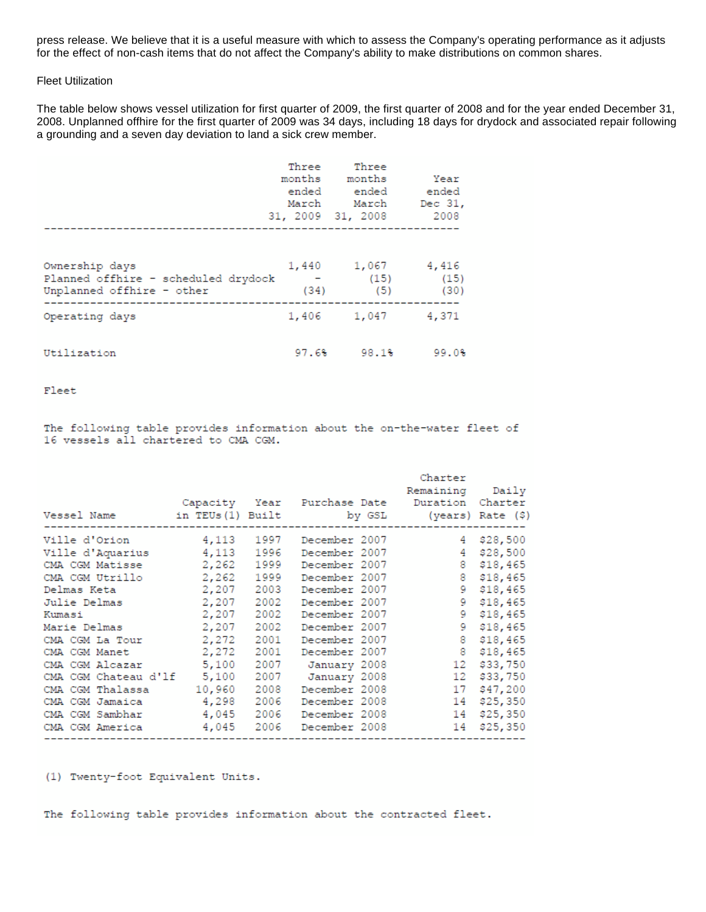press release. We believe that it is a useful measure with which to assess the Company's operating performance as it adjusts for the effect of non-cash items that do not affect the Company's ability to make distributions on common shares.

#### Fleet Utilization

The table below shows vessel utilization for first quarter of 2009, the first quarter of 2008 and for the year ended December 31, 2008. Unplanned offhire for the first quarter of 2009 was 34 days, including 18 days for drydock and associated repair following a grounding and a seven day deviation to land a sick crew member.

|                                                                                    | Three<br>March | Three<br>months months<br>ended ended ended<br>March<br>31, 2009 31, 2008 | Year<br>Dec 31,<br>2008 |
|------------------------------------------------------------------------------------|----------------|---------------------------------------------------------------------------|-------------------------|
| Ownership days<br>Planned offhire - scheduled drydock<br>Unplanned offhire - other | (34)           | 1,440 1,067 4,416<br>$-$ (15) (15)<br>(5)                                 | (30)                    |
| Operating days                                                                     |                | 1,406 1,047 4,371                                                         |                         |
| Utilization                                                                        | 97.6%          | 98.1%                                                                     | 99.0%                   |

Fleet

The following table provides information about the on-the-water fleet of 16 vessels all chartered to CMA CGM.

| Vessel Name (\$) in TEUs(1) Built by GSL (years) Rate (\$) |             | Capacity Year Purchase Date Duration Charter | Charter<br>Remaining Daily<br>---------------- |               |
|------------------------------------------------------------|-------------|----------------------------------------------|------------------------------------------------|---------------|
| Ville d'Orion                                              | 4,113 1997  | December 2007                                |                                                | 4 \$28,500    |
| Ville d'Aquarius 4,113 1996                                |             | December 2007                                |                                                | 4 \$28,500    |
| CMA CGM Matisse                                            | 2,262 1999  | December 2007                                |                                                | 8 \$18,465    |
| CMA CGM Utrillo 2,262 1999                                 |             | December 2007                                |                                                | 8 \$18,465    |
| Delmas Keta                                                | 2,207 2003  | December 2007                                |                                                | 9 \$18,465    |
| Julie Delmas                                               | 2,207 2002  | December 2007                                |                                                | 9 \$18,465    |
| Kumasi                                                     | 2,207 2002  | December 2007                                |                                                | $9$ \$18,465  |
| Marie Delmas                                               | 2,207 2002  | December 2007                                |                                                | $9$ $$18,465$ |
| CMA CGM La Tour 2,272 2001                                 |             | December 2007                                | 8 \$18,465                                     |               |
| CMA CGM Manet                                              | 2,272 2001  | December 2007                                |                                                | 8 \$18,465    |
| CMA CGM Alcazar 5,100 2007                                 |             | January 2008                                 |                                                | 12 \$33,750   |
| CMA CGM Chateau d'lf                                       | 5,100 2007  | January 2008                                 |                                                | 12 \$33,750   |
| CMA CGM Thalassa                                           | 10,960 2008 | December 2008                                | 17 \$47,200                                    |               |
| CMA CGM Jamaica                                            | 4,298 2006  | December 2008                                |                                                | 14 \$25,350   |
| CMA CGM Sambhar                                            | 4,045 2006  | December 2008                                |                                                | 14 \$25,350   |
| CMA CGM America                                            | 4,045 2006  | December 2008                                |                                                | 14 \$25,350   |
|                                                            |             |                                              |                                                |               |

(1) Twenty-foot Equivalent Units.

The following table provides information about the contracted fleet.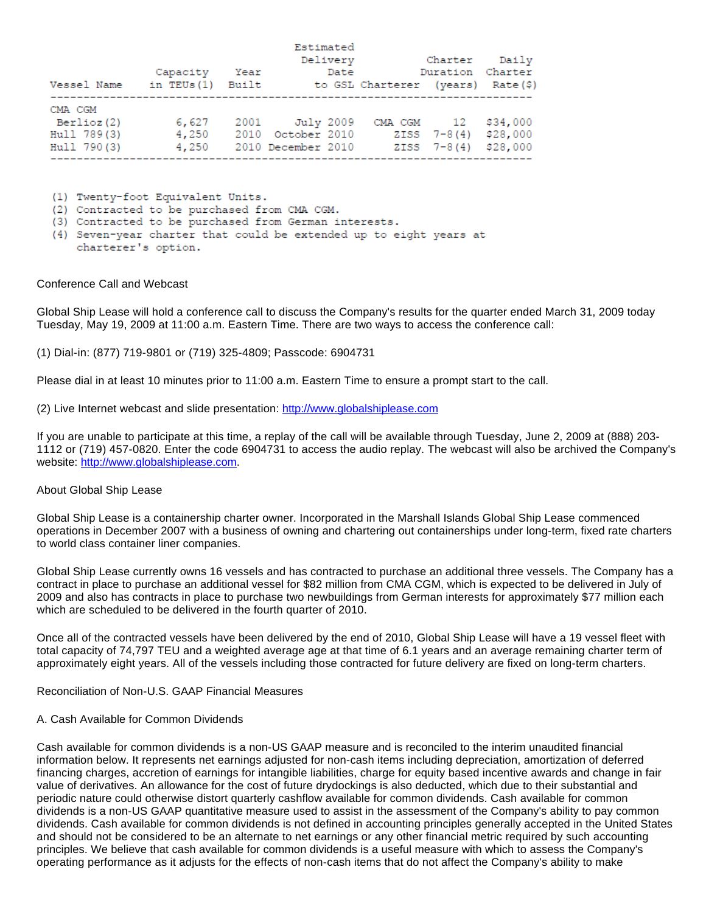|             | Capacity     | Year  | Estimated<br>Delivery<br>Date |                                   | Charter<br>Duration Charter | Dailv    |
|-------------|--------------|-------|-------------------------------|-----------------------------------|-----------------------------|----------|
| Vessel Name | in $TEUs(1)$ | Built |                               | to GSL Charterer (years) Rate(\$) |                             |          |
| CMA CGM     |              |       |                               |                                   |                             |          |
| Berlioz (2) | 6,627        |       | 2001 July 2009                | CMA CGM 12                        |                             | \$34,000 |
| Hull 789(3) | 4,250        | 2010  | October 2010                  |                                   | $ZISS 7-8(4)$               | \$28,000 |
| Hull 790(3) | 4,250        |       | 2010 December 2010            |                                   | $ZISS 7-8(4)$               | \$28,000 |

(1) Twenty-foot Equivalent Units.

(2) Contracted to be purchased from CMA CGM.

(3) Contracted to be purchased from German interests.

(4) Seven-year charter that could be extended up to eight years at charterer's option.

#### Conference Call and Webcast

Global Ship Lease will hold a conference call to discuss the Company's results for the quarter ended March 31, 2009 today Tuesday, May 19, 2009 at 11:00 a.m. Eastern Time. There are two ways to access the conference call:

(1) Dial-in: (877) 719-9801 or (719) 325-4809; Passcode: 6904731

Please dial in at least 10 minutes prior to 11:00 a.m. Eastern Time to ensure a prompt start to the call.

(2) Live Internet webcast and slide presentation: [http://www.globalshiplease.com](http://www.globalshiplease.com/)

If you are unable to participate at this time, a replay of the call will be available through Tuesday, June 2, 2009 at (888) 203- 1112 or (719) 457-0820. Enter the code 6904731 to access the audio replay. The webcast will also be archived the Company's website: [http://www.globalshiplease.com](http://www.globalshiplease.com/).

#### About Global Ship Lease

Global Ship Lease is a containership charter owner. Incorporated in the Marshall Islands Global Ship Lease commenced operations in December 2007 with a business of owning and chartering out containerships under long-term, fixed rate charters to world class container liner companies.

Global Ship Lease currently owns 16 vessels and has contracted to purchase an additional three vessels. The Company has a contract in place to purchase an additional vessel for \$82 million from CMA CGM, which is expected to be delivered in July of 2009 and also has contracts in place to purchase two newbuildings from German interests for approximately \$77 million each which are scheduled to be delivered in the fourth quarter of 2010.

Once all of the contracted vessels have been delivered by the end of 2010, Global Ship Lease will have a 19 vessel fleet with total capacity of 74,797 TEU and a weighted average age at that time of 6.1 years and an average remaining charter term of approximately eight years. All of the vessels including those contracted for future delivery are fixed on long-term charters.

Reconciliation of Non-U.S. GAAP Financial Measures

#### A. Cash Available for Common Dividends

Cash available for common dividends is a non-US GAAP measure and is reconciled to the interim unaudited financial information below. It represents net earnings adjusted for non-cash items including depreciation, amortization of deferred financing charges, accretion of earnings for intangible liabilities, charge for equity based incentive awards and change in fair value of derivatives. An allowance for the cost of future drydockings is also deducted, which due to their substantial and periodic nature could otherwise distort quarterly cashflow available for common dividends. Cash available for common dividends is a non-US GAAP quantitative measure used to assist in the assessment of the Company's ability to pay common dividends. Cash available for common dividends is not defined in accounting principles generally accepted in the United States and should not be considered to be an alternate to net earnings or any other financial metric required by such accounting principles. We believe that cash available for common dividends is a useful measure with which to assess the Company's operating performance as it adjusts for the effects of non-cash items that do not affect the Company's ability to make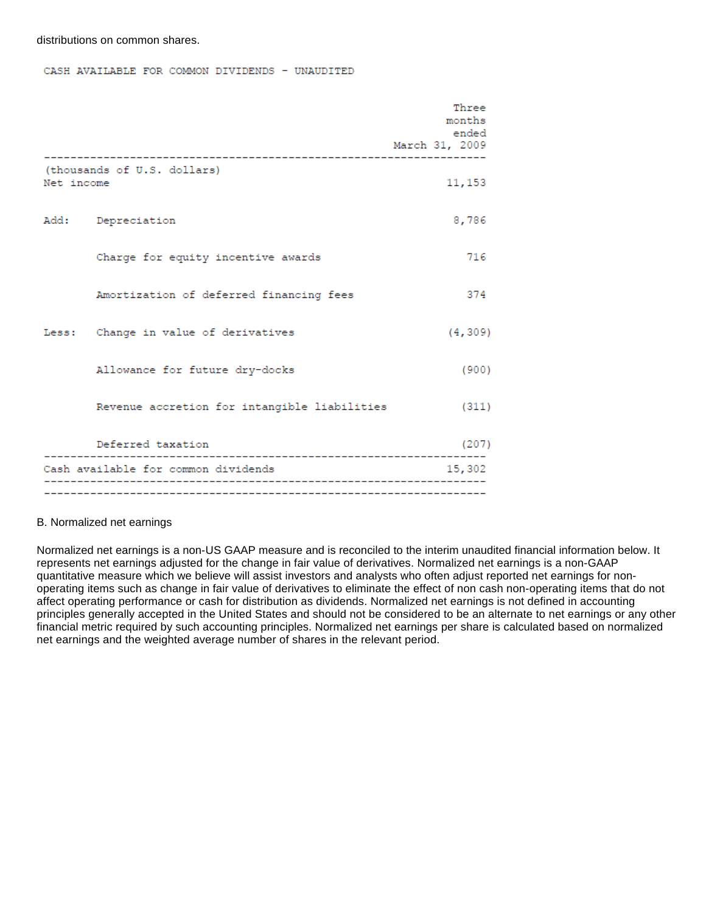distributions on common shares.

CASH AVAILABLE FOR COMMON DIVIDENDS - UNAUDITED

|            |                                              | Three<br>months<br>ended<br>March 31, 2009 |
|------------|----------------------------------------------|--------------------------------------------|
|            |                                              |                                            |
| Net income | (thousands of U.S. dollars)                  | 11,153                                     |
|            | Add: Depreciation                            | 8,786                                      |
|            | Charge for equity incentive awards           | 716                                        |
|            | Amortization of deferred financing fees      | 374                                        |
|            | Less: Change in value of derivatives         | (4, 309)                                   |
|            | Allowance for future dry-docks               | (900)                                      |
|            | Revenue accretion for intangible liabilities | (311)                                      |
|            | Deferred taxation                            | (207)                                      |
|            | Cash available for common dividends          | 15,302                                     |
|            | ________________________________             |                                            |

#### B. Normalized net earnings

Normalized net earnings is a non-US GAAP measure and is reconciled to the interim unaudited financial information below. It represents net earnings adjusted for the change in fair value of derivatives. Normalized net earnings is a non-GAAP quantitative measure which we believe will assist investors and analysts who often adjust reported net earnings for nonoperating items such as change in fair value of derivatives to eliminate the effect of non cash non-operating items that do not affect operating performance or cash for distribution as dividends. Normalized net earnings is not defined in accounting principles generally accepted in the United States and should not be considered to be an alternate to net earnings or any other financial metric required by such accounting principles. Normalized net earnings per share is calculated based on normalized net earnings and the weighted average number of shares in the relevant period.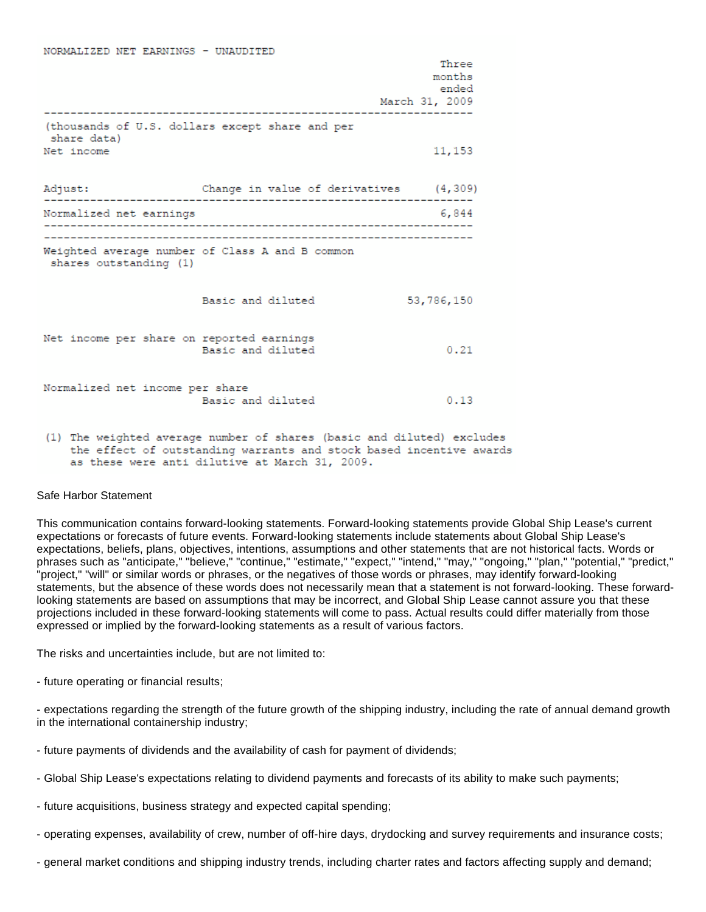| NORMALIZED NET EARNINGS - UNAUDITED       |                                                                     |                |
|-------------------------------------------|---------------------------------------------------------------------|----------------|
|                                           |                                                                     | Three          |
|                                           |                                                                     | months         |
|                                           |                                                                     | ended          |
|                                           |                                                                     | March 31, 2009 |
| share data)                               | (thousands of U.S. dollars except share and per                     |                |
| Net income                                |                                                                     | 11,153         |
|                                           | Adjust: Change in value of derivatives (4,309)                      |                |
| Normalized net earnings                   |                                                                     | 6,844          |
| shares outstanding (1)                    | Weighted average number of Class A and B common                     |                |
|                                           | Basic and diluted                                                   | 53,786,150     |
| Net income per share on reported earnings | Basic and diluted                                                   | 0.21           |
| Normalized net income per share           | Basic and diluted                                                   | 0.13           |
|                                           | (1) The usighted exerges number of shares (basic and diluted) evolv |                |

 $\frac{1}{2}$  and  $\frac{1}{2}$  and  $\frac{1}{2}$  and  $\frac{1}{2}$  and  $\frac{1}{2}$ 

(1) The weighted average number of shares (basic and diluted) excludes the effect of outstanding warrants and stock based incentive awards as these were anti dilutive at March 31, 2009.

#### Safe Harbor Statement

This communication contains forward-looking statements. Forward-looking statements provide Global Ship Lease's current expectations or forecasts of future events. Forward-looking statements include statements about Global Ship Lease's expectations, beliefs, plans, objectives, intentions, assumptions and other statements that are not historical facts. Words or phrases such as "anticipate," "believe," "continue," "estimate," "expect," "intend," "may," "ongoing," "plan," "potential," "predict," "project," "will" or similar words or phrases, or the negatives of those words or phrases, may identify forward-looking statements, but the absence of these words does not necessarily mean that a statement is not forward-looking. These forwardlooking statements are based on assumptions that may be incorrect, and Global Ship Lease cannot assure you that these projections included in these forward-looking statements will come to pass. Actual results could differ materially from those expressed or implied by the forward-looking statements as a result of various factors.

The risks and uncertainties include, but are not limited to:

- future operating or financial results;

- expectations regarding the strength of the future growth of the shipping industry, including the rate of annual demand growth in the international containership industry;

- future payments of dividends and the availability of cash for payment of dividends;
- Global Ship Lease's expectations relating to dividend payments and forecasts of its ability to make such payments;
- future acquisitions, business strategy and expected capital spending;
- operating expenses, availability of crew, number of off-hire days, drydocking and survey requirements and insurance costs;
- general market conditions and shipping industry trends, including charter rates and factors affecting supply and demand;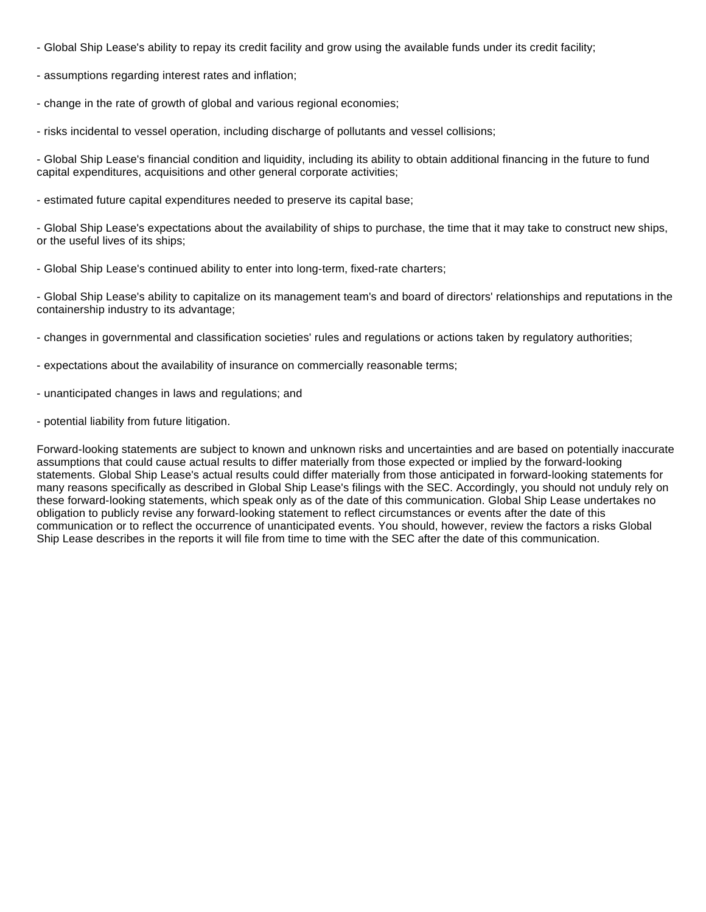- Global Ship Lease's ability to repay its credit facility and grow using the available funds under its credit facility;
- assumptions regarding interest rates and inflation;
- change in the rate of growth of global and various regional economies;
- risks incidental to vessel operation, including discharge of pollutants and vessel collisions;

- Global Ship Lease's financial condition and liquidity, including its ability to obtain additional financing in the future to fund capital expenditures, acquisitions and other general corporate activities;

- estimated future capital expenditures needed to preserve its capital base;

- Global Ship Lease's expectations about the availability of ships to purchase, the time that it may take to construct new ships, or the useful lives of its ships;

- Global Ship Lease's continued ability to enter into long-term, fixed-rate charters;

- Global Ship Lease's ability to capitalize on its management team's and board of directors' relationships and reputations in the containership industry to its advantage;

- changes in governmental and classification societies' rules and regulations or actions taken by regulatory authorities;
- expectations about the availability of insurance on commercially reasonable terms;
- unanticipated changes in laws and regulations; and
- potential liability from future litigation.

Forward-looking statements are subject to known and unknown risks and uncertainties and are based on potentially inaccurate assumptions that could cause actual results to differ materially from those expected or implied by the forward-looking statements. Global Ship Lease's actual results could differ materially from those anticipated in forward-looking statements for many reasons specifically as described in Global Ship Lease's filings with the SEC. Accordingly, you should not unduly rely on these forward-looking statements, which speak only as of the date of this communication. Global Ship Lease undertakes no obligation to publicly revise any forward-looking statement to reflect circumstances or events after the date of this communication or to reflect the occurrence of unanticipated events. You should, however, review the factors a risks Global Ship Lease describes in the reports it will file from time to time with the SEC after the date of this communication.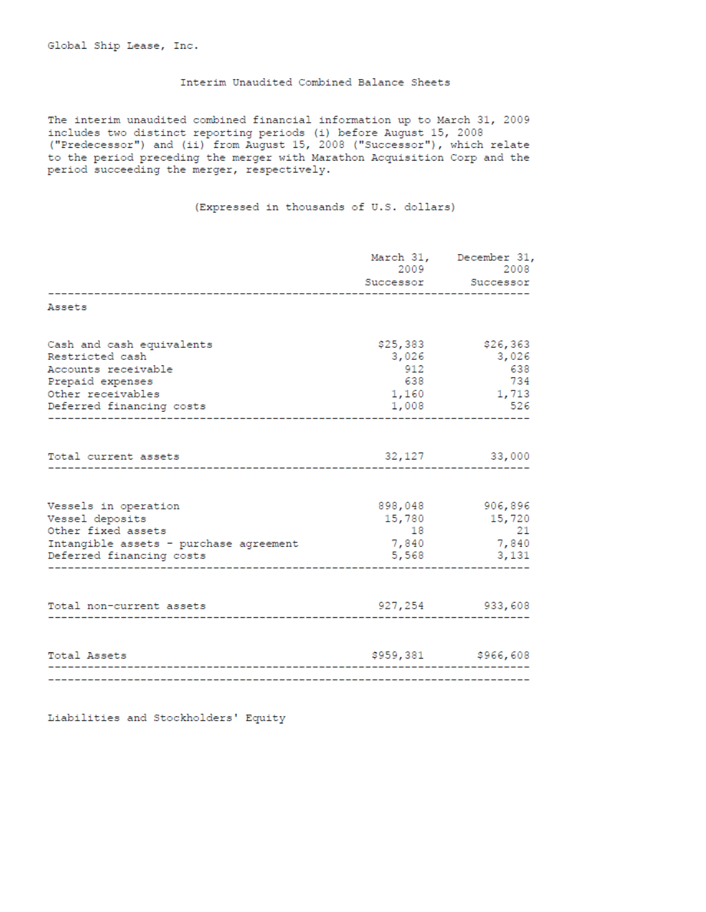#### Interim Unaudited Combined Balance Sheets

The interim unaudited combined financial information up to March 31, 2009 includes two distinct reporting periods (i) before August 15, 2008 ("Predecessor") and (ii) from August 15, 2008 ("Successor"), which relate to the period preceding the merger with Marathon Acquisition Corp and the period succeeding the merger, respectively.

(Expressed in thousands of U.S. dollars)

|                                                                    |                       | March 31, December 31,<br>2009 2008 |
|--------------------------------------------------------------------|-----------------------|-------------------------------------|
|                                                                    | .                     | Successor Successor                 |
| Assets                                                             |                       |                                     |
| Cash and cash equivalents<br>Restricted cash                       | \$25,383<br>3,026     | \$26,363<br>3,026                   |
| Accounts receivable                                                | 912                   | 638                                 |
| Prepaid expenses<br>Other receivables<br>Deferred financing costs  | 638<br>1,160<br>1,008 | 734<br>1,713<br>- 526               |
|                                                                    |                       |                                     |
| Total current assets                                               |                       | 32,127 33,000                       |
| Vessels in operation<br>Vessel deposits                            | 15,780                | 898,048 906,896<br>15,720           |
| Other fixed assets                                                 | 18                    | 21                                  |
| Intangible assets - purchase agreement<br>Deferred financing costs | 7,840<br>5,568        | 7,840<br>3,131                      |
|                                                                    |                       |                                     |
| Total non-current assets                                           |                       | 927,254 933,608                     |
|                                                                    |                       |                                     |
| Total Assets                                                       |                       | \$959,381 \$966,608                 |
|                                                                    |                       |                                     |

Liabilities and Stockholders' Equity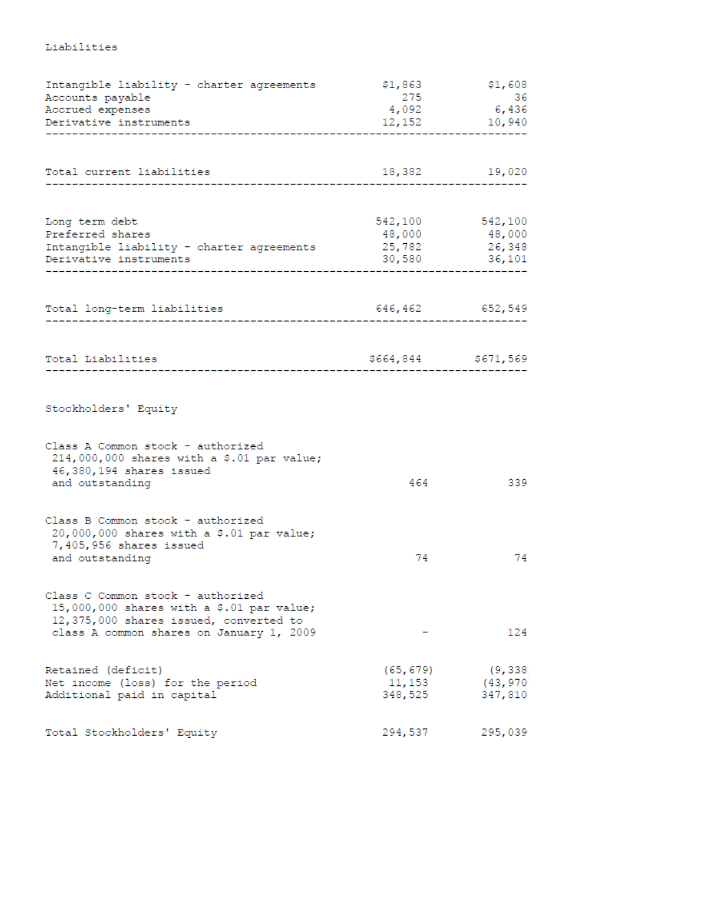| Intangible liability - charter agreements<br>Accounts payable<br>Accrued expenses<br>Derivative instruments                                                          | \$1,863<br>275                 | \$1,608<br>36<br>4,092 6,436<br>12,152 10,940 |
|----------------------------------------------------------------------------------------------------------------------------------------------------------------------|--------------------------------|-----------------------------------------------|
| Total current liabilities                                                                                                                                            | 18,382                         | 19,020                                        |
| Long term debt<br>Preferred shares<br>Intangible liability - charter agreements 25,782 26,348<br>Derivative instruments                                              | 30,580                         | 542,100 542,100<br>48,000 48,000<br>36,101    |
| Total long-term liabilities                                                                                                                                          | 646,462 652,549                |                                               |
| Total Liabilities                                                                                                                                                    | \$664,844 \$671,569            |                                               |
| Stockholders' Equity                                                                                                                                                 |                                |                                               |
| Class A Common stock - authorized<br>214,000,000 shares with a \$.01 par value;<br>46,380,194 shares issued<br>and outstanding                                       | 464                            | 339                                           |
| Class B Common stock - authorized<br>20,000,000 shares with a \$.01 par value;<br>7,405,956 shares issued<br>and outstanding                                         | 74                             | 74                                            |
| Class C Common stock - authorized<br>15,000,000 shares with a \$.01 par value;<br>12,375,000 shares issued, converted to<br>class A common shares on January 1, 2009 |                                | 124                                           |
| Retained (deficit)<br>Net income (loss) for the period<br>Additional paid in capital                                                                                 | (65, 679)<br>11,153<br>348,525 | (9, 338)<br>(43,970)<br>347,810               |
| Total Stockholders' Equity                                                                                                                                           | 294,537                        | 295,039                                       |

### Liabilities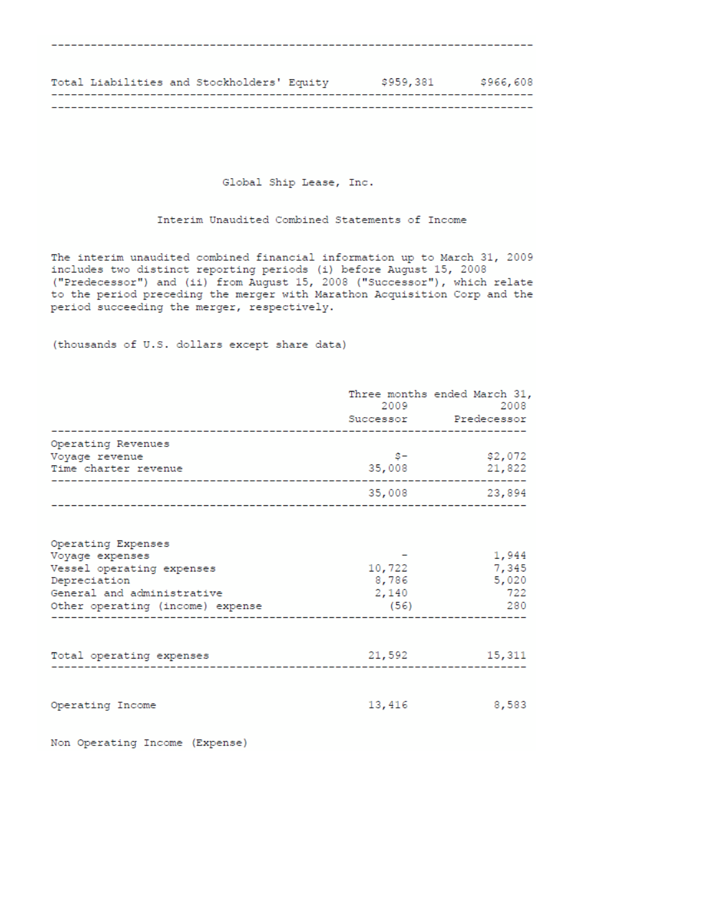| Total Liabilities and Stockholders' Equity |  | \$959,381 | \$966,608 |
|--------------------------------------------|--|-----------|-----------|
|                                            |  |           |           |

Global Ship Lease, Inc.

Interim Unaudited Combined Statements of Income

The interim unaudited combined financial information up to March 31, 2009 includes two distinct reporting periods (i) before August 15, 2008 ("Predecessor") and (ii) from August 15, 2008 ("Successor"), which relate<br>to the period preceding the merger with Marathon Acquisition Corp and the period succeeding the merger, respectively.

(thousands of U.S. dollars except share data)

|                                                                                                                                                      | 2009 - 100                       | Three months ended March 31,<br>2008<br>Successor Predecessor                                                                                                                                                                                                                                                                                                                       |
|------------------------------------------------------------------------------------------------------------------------------------------------------|----------------------------------|-------------------------------------------------------------------------------------------------------------------------------------------------------------------------------------------------------------------------------------------------------------------------------------------------------------------------------------------------------------------------------------|
| Operating Revenues<br>Voyage revenue<br>Time charter revenue                                                                                         | 35,008                           | $$^{\circ}$$ $$^{\circ}$$ $$^{\circ}$$ $$^{\circ}$$ $$^{\circ}$$ $$^{\circ}$$ $$^{\circ}$$ $$^{\circ}$$ $$^{\circ}$$ $$^{\circ}$$ $$^{\circ}$$ $$^{\circ}$$ $$^{\circ}$$ $$^{\circ}$$ $$^{\circ}$$ $$^{\circ}$$ $$^{\circ}$$ $$^{\circ}$$ $$^{\circ}$$ $$^{\circ}$$ $$^{\circ}$$ $$^{\circ}$$ $$^{\circ}$$ $$^{\circ}$$ $$^{\circ}$$ $$^{\circ}$$ $$^{\circ}$$ $$^{\circ$<br>21,822 |
|                                                                                                                                                      |                                  | 35,008 23,894                                                                                                                                                                                                                                                                                                                                                                       |
| Operating Expenses<br>Voyage expenses<br>Vessel operating expenses<br>Depreciation<br>General and administrative<br>Other operating (income) expense | 10,722<br>8,786<br>2,140<br>(56) | 1,944<br>7,345<br>5,020<br>722<br>280<br>------------------------------                                                                                                                                                                                                                                                                                                             |
| Total operating expenses                                                                                                                             | 21,592                           | 15,311                                                                                                                                                                                                                                                                                                                                                                              |
| Operating Income                                                                                                                                     | 13,416                           | 8,583                                                                                                                                                                                                                                                                                                                                                                               |

Non Operating Income (Expense)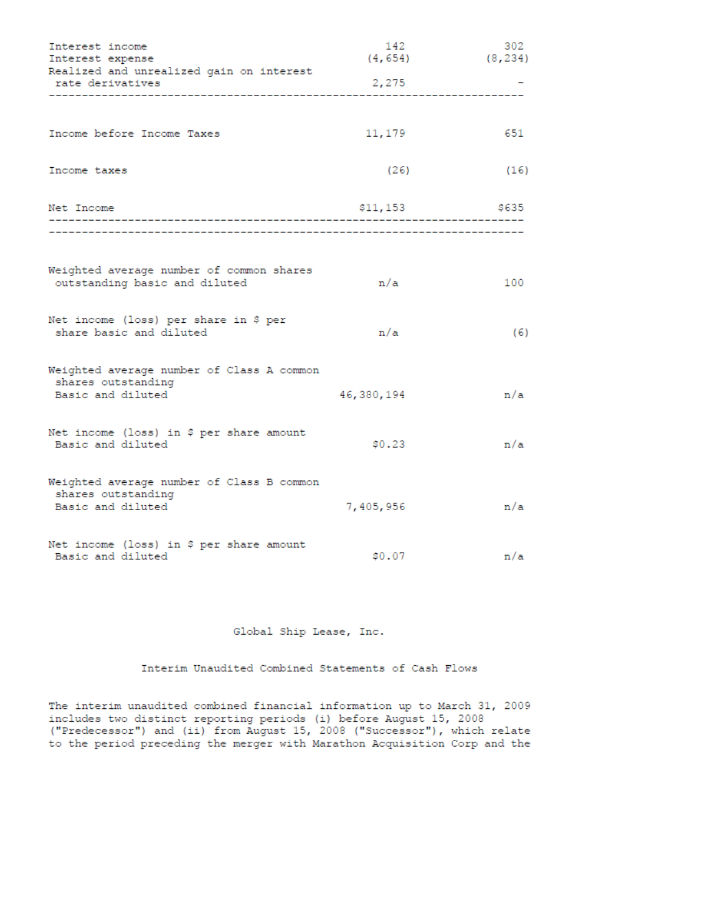| Interest income<br>Interest expense                                                  | 142<br>(4, 654) | 302<br>(8, 234) |
|--------------------------------------------------------------------------------------|-----------------|-----------------|
| Realized and unrealized gain on interest<br>rate derivatives                         | 2,275           |                 |
|                                                                                      |                 |                 |
| Income before Income Taxes                                                           | 11,179          | 651             |
| Income taxes                                                                         | (26)            | (16)            |
| Net Income                                                                           | \$11,153        | \$635           |
|                                                                                      |                 |                 |
| Weighted average number of common shares<br>outstanding basic and diluted            | n/a             | 100             |
| Net income (loss) per share in \$ per<br>share basic and diluted                     | n/a             | (6)             |
| Weighted average number of Class A common<br>shares outstanding<br>Basic and diluted | 46,380,194      | n/a             |
| Net income (loss) in \$ per share amount<br>Basic and diluted                        | \$0.23          | n/a             |
| Weighted average number of Class B common<br>shares outstanding<br>Basic and diluted | 7,405,956       | n/a             |
| Net income (loss) in \$ per share amount<br>Basic and diluted                        | \$0.07          | n/a             |

Global Ship Lease, Inc.

Interim Unaudited Combined Statements of Cash Flows

The interim unaudited combined financial information up to March 31, 2009 includes two distinct reporting periods (i) before August 15, 2008<br>("Predecessor") and (ii) from August 15, 2008 ("Successor"), which relate to the period preceding the merger with Marathon Acquisition Corp and the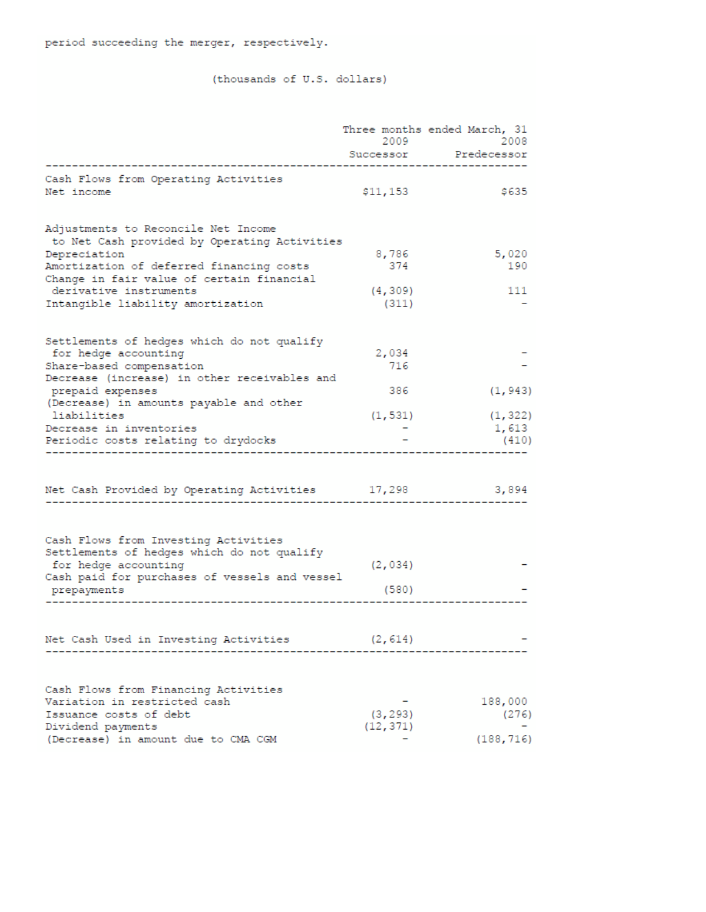## (thousands of U.S. dollars)

|                                                                     | 2009      | Three months ended March, 31<br>2008 |
|---------------------------------------------------------------------|-----------|--------------------------------------|
|                                                                     | Successor | Predecessor                          |
| Cash Flows from Operating Activities                                |           |                                      |
| Net income                                                          | \$11,153  | \$635                                |
| Adjustments to Reconcile Net Income                                 |           |                                      |
| to Net Cash provided by Operating Activities                        |           |                                      |
| Depreciation                                                        | 8,786     | 5,020                                |
| Amortization of deferred financing costs                            | 374       | 190                                  |
| Change in fair value of certain financial<br>derivative instruments | (4, 309)  | 111                                  |
| Intangible liability amortization                                   | (311)     |                                      |
|                                                                     |           |                                      |
| Settlements of hedges which do not qualify                          |           |                                      |
| for hedge accounting                                                | 2,034     |                                      |
| Share-based compensation                                            | 716       |                                      |
| Decrease (increase) in other receivables and                        |           |                                      |
| prepaid expenses<br>(Decrease) in amounts payable and other         | 386       | (1, 943)                             |
| liabilities                                                         | (1, 531)  | (1, 322)                             |
| Decrease in inventories                                             |           | 1,613                                |
| Periodic costs relating to drydocks                                 |           | (410)                                |
|                                                                     |           |                                      |
| Net Cash Provided by Operating Activities 17,298                    |           | 3,894                                |
|                                                                     |           |                                      |
| Cash Flows from Investing Activities                                |           |                                      |
| Settlements of hedges which do not qualify                          |           |                                      |
| for hedge accounting                                                | (2, 034)  |                                      |
| Cash paid for purchases of vessels and vessel                       |           |                                      |
| prepayments                                                         | (580)     |                                      |
|                                                                     |           |                                      |
| Net Cash Used in Investing Activities                               | (2, 614)  |                                      |
|                                                                     |           |                                      |
| Cash Flows from Financing Activities                                |           |                                      |
| Variation in restricted cash                                        |           | 188,000                              |
| Issuance costs of debt                                              | (3, 293)  | (276)                                |
| Dividend payments                                                   | (12, 371) |                                      |
| (Decrease) in amount due to CMA CGM                                 |           | (188, 716)                           |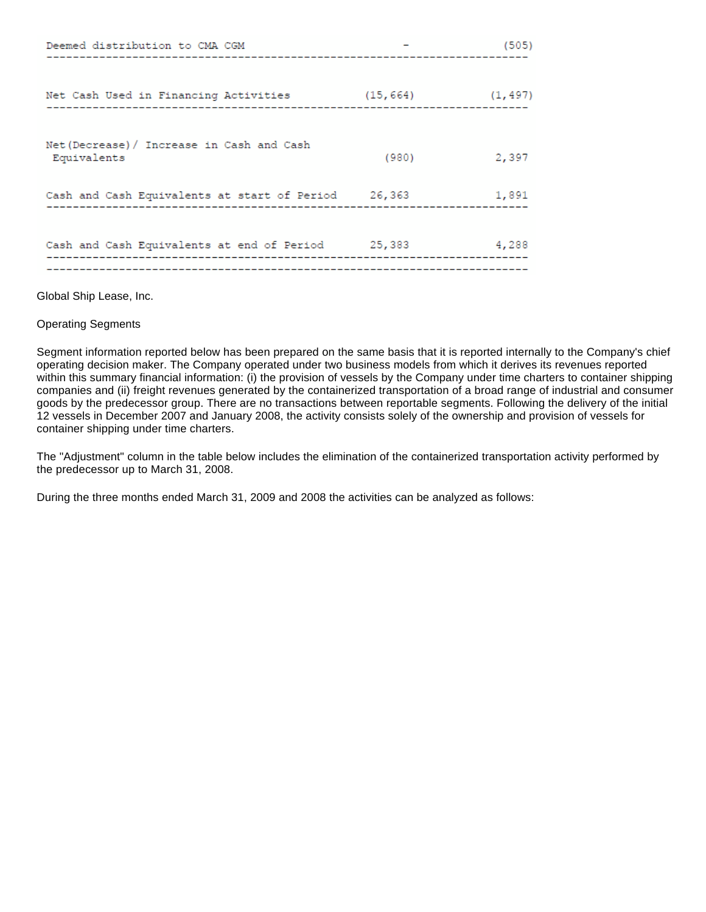| Deemed distribution to CMA CGM                            |       | (505)                  |
|-----------------------------------------------------------|-------|------------------------|
|                                                           |       |                        |
| Net Cash Used in Financing Activities                     |       | $(15, 664)$ $(1, 497)$ |
| Net (Decrease) / Increase in Cash and Cash<br>Equivalents | (980) | 2,397                  |
|                                                           |       |                        |
| Cash and Cash Equivalents at start of Period 26,363 1,891 |       |                        |
|                                                           |       |                        |
| Cash and Cash Equivalents at end of Period 25,383         |       | 4,288                  |
|                                                           |       |                        |

Global Ship Lease, Inc.

### Operating Segments

Segment information reported below has been prepared on the same basis that it is reported internally to the Company's chief operating decision maker. The Company operated under two business models from which it derives its revenues reported within this summary financial information: (i) the provision of vessels by the Company under time charters to container shipping companies and (ii) freight revenues generated by the containerized transportation of a broad range of industrial and consumer goods by the predecessor group. There are no transactions between reportable segments. Following the delivery of the initial 12 vessels in December 2007 and January 2008, the activity consists solely of the ownership and provision of vessels for container shipping under time charters.

The "Adjustment" column in the table below includes the elimination of the containerized transportation activity performed by the predecessor up to March 31, 2008.

During the three months ended March 31, 2009 and 2008 the activities can be analyzed as follows: